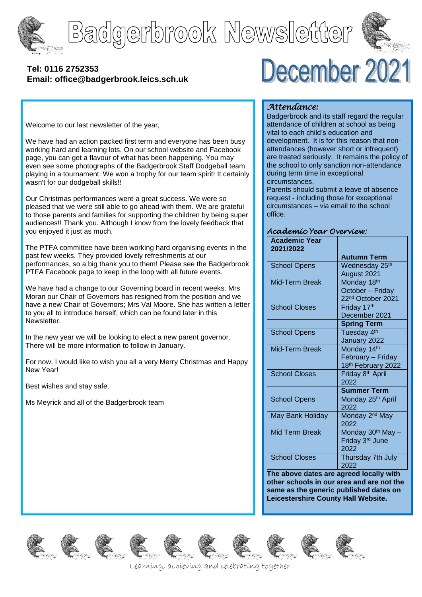





## **[Tel: 0116](tel:0116) 2752353 Email: office@badgerbrook.leics.sch.uk**

# December 2021

Welcome to our last newsletter of the year,

We have had an action packed first term and everyone has been busy working hard and learning lots. On our school website and Facebook page, you can get a flavour of what has been happening. You may even see some photographs of the Badgerbrook Staff Dodgeball team playing in a tournament. We won a trophy for our team spirit! It certainly wasn't for our dodgeball skills!!

Our Christmas performances were a great success. We were so pleased that we were still able to go ahead with them. We are grateful to those parents and families for supporting the children by being super audiences!! Thank you. Although I know from the lovely feedback that you enjoyed it just as much.

The PTFA committee have been working hard organising events in the past few weeks. They provided lovely refreshments at our performances, so a big thank you to them! Please see the Badgerbrook PTFA Facebook page to keep in the loop with all future events.

We have had a change to our Governing board in recent weeks. Mrs Moran our Chair of Governors has resigned from the position and we have a new Chair of Governors; Mrs Val Moore. She has written a letter to you all to introduce herself, which can be found later in this Newsletter.

In the new year we will be looking to elect a new parent governor. There will be more information to follow in January.

For now, I would like to wish you all a very Merry Christmas and Happy New Year!

Best wishes and stay safe.

Ms Meyrick and all of the Badgerbrook team

#### *Attendance:*

Badgerbrook and its staff regard the regular attendance of children at school as being vital to each child's education and development. It is for this reason that nonattendances (however short or infrequent) are treated seriously. It remains the policy of the school to only sanction non-attendance during term time in exceptional circumstances.

Parents should submit a leave of absence request - including those for exceptional circumstances – via email to the school office.

#### *Academic Year Overview:*

| <b>Academic Year</b><br>2021/2022 |                               |
|-----------------------------------|-------------------------------|
|                                   | <b>Autumn Term</b>            |
| <b>School Opens</b>               | Wednesday 25 <sup>th</sup>    |
|                                   | August 2021                   |
| Mid-Term Break                    | Monday 18th                   |
|                                   | October - Friday              |
|                                   | 22 <sup>nd</sup> October 2021 |
| <b>School Closes</b>              | Friday 17th                   |
|                                   | December 2021                 |
|                                   | <b>Spring Term</b>            |
| <b>School Opens</b>               | Tuesday 4 <sup>th</sup>       |
|                                   | January 2022                  |
| Mid-Term Break                    | Monday 14th                   |
|                                   | February - Friday             |
|                                   | 18th February 2022            |
| <b>School Closes</b>              | Friday 8 <sup>th</sup> April  |
|                                   | 2022                          |
|                                   | <b>Summer Term</b>            |
| <b>School Opens</b>               | Monday 25 <sup>th</sup> April |
|                                   | 2022                          |
| May Bank Holiday                  | Monday 2 <sup>nd</sup> May    |
|                                   | 2022                          |
| <b>Mid Term Break</b>             | Monday 30th May -             |
|                                   | Friday 3 <sup>rd</sup> June   |
|                                   | 2022                          |
| <b>School Closes</b>              | Thursday 7th July             |
|                                   | 2022                          |

**The above dates are agreed locally with other schools in our area and are not the same as the generic published dates on Leicestershire County Hall Website.**















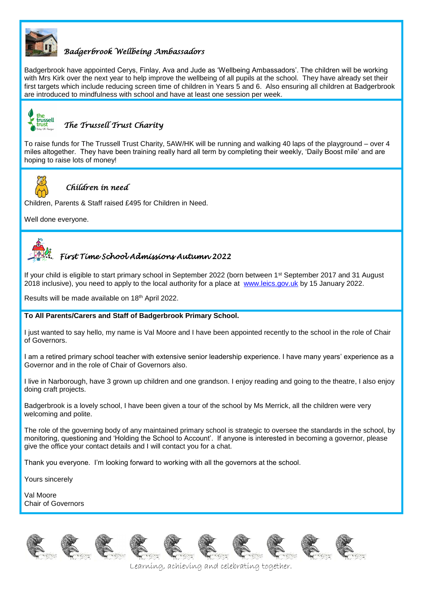

## *Badgerbrook Wellbeing Ambassadors*

Badgerbrook have appointed Cerys, Finlay, Ava and Jude as 'Wellbeing Ambassadors'. The children will be working with Mrs Kirk over the next year to help improve the wellbeing of all pupils at the school. They have already set their first targets which include reducing screen time of children in Years 5 and 6. Also ensuring all children at Badgerbrook are introduced to mindfulness with school and have at least one session per week.



# *The Trussell Trust Charity*

To raise funds for The Trussell Trust Charity, 5AW/HK will be running and walking 40 laps of the playground – over 4 miles altogether. They have been training really hard all term by completing their weekly, 'Daily Boost mile' and are hoping to raise lots of money!



#### *Children in need*

Children, Parents & Staff raised £495 for Children in Need.

Well done everyone.

# *First Time School Admissions Autumn 2022*

If your child is eligible to start primary school in September 2022 (born between 1<sup>st</sup> September 2017 and 31 August 2018 inclusive), you need to apply to the local authority for a place at [www.leics.gov.uk](http://www.leics.gov.uk/) by 15 January 2022.

Results will be made available on 18th April 2022.

#### **To All Parents/Carers and Staff of Badgerbrook Primary School.**

I just wanted to say hello, my name is Val Moore and I have been appointed recently to the school in the role of Chair of Governors.

I am a retired primary school teacher with extensive senior leadership experience. I have many years' experience as a Governor and in the role of Chair of Governors also.

I live in Narborough, have 3 grown up children and one grandson. I enjoy reading and going to the theatre, I also enjoy doing craft projects.

Badgerbrook is a lovely school, I have been given a tour of the school by Ms Merrick, all the children were very welcoming and polite.

The role of the governing body of any maintained primary school is strategic to oversee the standards in the school, by monitoring, questioning and 'Holding the School to Account'. If anyone is interested in becoming a governor, please give the office your contact details and I will contact you for a chat.

Thank you everyone. I'm looking forward to working with all the governors at the school.

Yours sincerely

Val Moore Chair of Governors











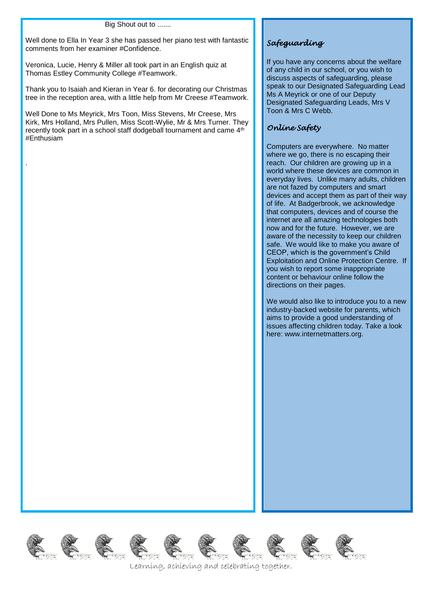Big Shout out to .......

Well done to Ella In Year 3 she has passed her piano test with fantastic comments from her examiner #Confidence.

Veronica, Lucie, Henry & Miller all took part in an English quiz at Thomas Estley Community College #Teamwork.

Thank you to Isaiah and Kieran in Year 6. for decorating our Christmas tree in the reception area, with a little help from Mr Creese #Teamwork.

Well Done to Ms Meyrick, Mrs Toon, Miss Stevens, Mr Creese, Mrs Kirk, Mrs Holland, Mrs Pullen, Miss Scott-Wylie, Mr & Mrs Turner. They recently took part in a school staff dodgeball tournament and came 4<sup>th</sup> #Enthusiam

.

# *Safeguarding*

If you have any concerns about the welfare of any child in our school, or you wish to discuss aspects of safeguarding, please speak to our Designated Safeguarding Lead Ms A Meyrick or one of our Deputy Designated Safeguarding Leads, Mrs V Toon & Mrs C Webb.

# *Online Safety*

Computers are everywhere. No matter where we go, there is no escaping their reach. Our children are growing up in a world where these devices are common in everyday lives. Unlike many adults, children are not fazed by computers and smart devices and accept them as part of their way of life. At Badgerbrook, we acknowledge that computers, devices and of course the internet are all amazing technologies both now and for the future. However, we are aware of the necessity to keep our children safe. We would like to make you aware of CEOP, which is the government's Child Exploitation and Online Protection Centre. If you wish to report some inappropriate content or behaviour online follow the directions on their pages.

We would also like to introduce you to a new industry-backed website for parents, which aims to provide a good understanding of issues affecting children today. Take a look here: www.internetmatters.org.